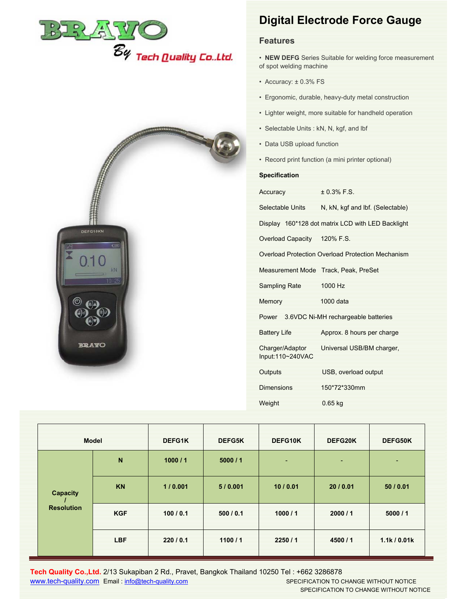

## **Digital Electrode Force Gauge**

## **Features**

- **NEW DEFG** Series Suitable for welding force measurement of spot welding machine
- Accuracy: ± 0.3% FS
- Ergonomic, durable, heavy-duty metal construction
- Lighter weight, more suitable for handheld operation
- Selectable Units : kN, N, kgf, and lbf
- Data USB upload function
- Record print function (a mini printer optional)

## **Specification**

Input:110~240VAC

| opoomouton                  |                                                   |
|-----------------------------|---------------------------------------------------|
| <b>Accuracy</b> Accuracy    | $± 0.3%$ F.S.                                     |
|                             | Selectable Units N, kN, kgf and lbf. (Selectable) |
|                             | Display 160*128 dot matrix LCD with LED Backlight |
| Overload Capacity 120% F.S. |                                                   |
|                             | Overload Protection Overload Protection Mechanism |
|                             | Measurement Mode Track, Peak, PreSet              |
| Sampling Rate 1000 Hz       |                                                   |
| <b>Memory</b>               | 1000 data                                         |
|                             | Power 3.6VDC Ni-MH rechargeable batteries         |
| an an S<br>Battery Life     | Approx. 8 hours per charge                        |
|                             | Charger/Adaptor Universal USB/BM charger,         |

Outputs USB, overload output

Dimensions 150\*72\*330mm

Weight 0.65 kg



|  | <b>Model</b>                  |            | DEFG1K    | <b>DEFG5K</b> | DEFG10K | DEFG20K | DEFG50K      |
|--|-------------------------------|------------|-----------|---------------|---------|---------|--------------|
|  | Capacity<br><b>Resolution</b> | ${\bf N}$  | 1000/1    | 5000/1        | ٠       | ٠       | ٠            |
|  |                               | <b>KN</b>  | 1/0.001   | 5/0.001       | 10/0.01 | 20/0.01 | 50/0.01      |
|  |                               | <b>KGF</b> | 100/0.1   | 500/0.1       | 1000/1  | 2000/1  | 5000/1       |
|  |                               | <b>LBF</b> | 220 / 0.1 | 1100/1        | 2250/1  | 4500/1  | 1.1k / 0.01k |

**Tech Quality Co.,Ltd.** 2/13 Sukapiban 2 Rd., Pravet, Bangkok Thailand 10250 Tel : +662 3286878 www.tech-quality.com Email : info@tech-quality.com SPECIFICATION TO CHANGE WITHOUT NOTICE

SPECIFICATION TO CHANGE WITHOUT NOTICE